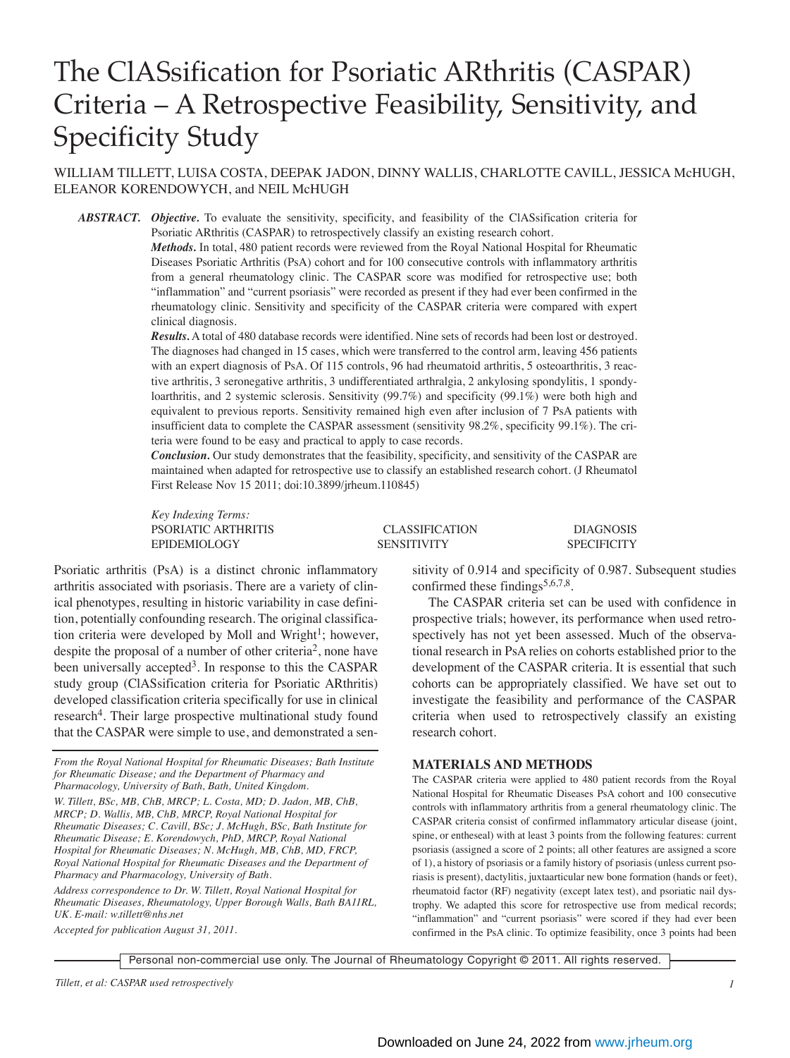# The ClASsification for Psoriatic ARthritis (CASPAR) Criteria – A Retrospective Feasibility, Sensitivity, and Specificity Study

## WILLIAM TILLETT, LUISA COSTA, DEEPAK JADON, DINNY WALLIS, CHARLOTTE CAVILL, JESSICA McHUGH, ELEANOR KORENDOWYCH, and NEIL McHUGH

*ABSTRACT. Objective.* To evaluate the sensitivity, specificity, and feasibility of the ClASsification criteria for Psoriatic ARthritis (CASPAR) to retrospectively classify an existing research cohort.

> *Methods.* In total, 480 patient records were reviewed from the Royal National Hospital for Rheumatic Diseases Psoriatic Arthritis (PsA) cohort and for 100 consecutive controls with inflammatory arthritis from a general rheumatology clinic. The CASPAR score was modified for retrospective use; both "inflammation" and "current psoriasis" were recorded as present if they had ever been confirmed in the rheumatology clinic. Sensitivity and specificity of the CASPAR criteria were compared with expert clinical diagnosis.

> *Results.* A total of 480 database records were identified. Nine sets of records had been lost or destroyed. The diagnoses had changed in 15 cases, which were transferred to the control arm, leaving 456 patients with an expert diagnosis of PsA. Of 115 controls, 96 had rheumatoid arthritis, 5 osteoarthritis, 3 reactive arthritis, 3 seronegative arthritis, 3 undifferentiated arthralgia, 2 ankylosing spondylitis, 1 spondyloarthritis, and 2 systemic sclerosis. Sensitivity (99.7%) and specificity (99.1%) were both high and equivalent to previous reports. Sensitivity remained high even after inclusion of 7 PsA patients with insufficient data to complete the CASPAR assessment (sensitivity 98.2%, specificity 99.1%). The criteria were found to be easy and practical to apply to case records.

> *Conclusion.* Our study demonstrates that the feasibility, specificity, and sensitivity of the CASPAR are maintained when adapted for retrospective use to classify an established research cohort. (J Rheumatol First Release Nov 15 2011; doi:10.3899/jrheum.110845)

> *Key Indexing Terms:* PSORIATIC ARTHRITIS CLASSIFICATION DIAGNOSIS EPIDEMIOLOGY SENSITIVITY SPECIFICITY

Psoriatic arthritis (PsA) is a distinct chronic inflammatory arthritis associated with psoriasis. There are a variety of clinical phenotypes, resulting in historic variability in case definition, potentially confounding research. The original classification criteria were developed by Moll and Wright<sup>1</sup>; however, despite the proposal of a number of other criteria<sup>2</sup>, none have been universally accepted<sup>3</sup>. In response to this the CASPAR study group (ClASsification criteria for Psoriatic ARthritis) developed classification criteria specifically for use in clinical research<sup>4</sup>. Their large prospective multinational study found that the CASPAR were simple to use, and demonstrated a sen-

*From the Royal National Hospital for Rheumatic Diseases; Bath Institute for Rheumatic Disease; and the Department of Pharmacy and Pharmacology, University of Bath, Bath, United Kingdom.* 

*W. Tillett, BSc, MB, ChB, MRCP; L. Costa, MD; D. Jadon, MB, ChB, MRCP; D. Wallis, MB, ChB, MRCP, Royal National Hospital for Rheumatic Diseases; C. Cavill, BSc; J. McHugh, BSc, Bath Institute for Rheumatic Disease; E. Korendowych, PhD, MRCP, Royal National Hospital for Rheumatic Diseases; N. McHugh, MB, ChB, MD, FRCP, Royal National Hospital for Rheumatic Diseases and the Department of Pharmacy and Pharmacology, University of Bath.*

*Address correspondence to Dr. W. Tillett, Royal National Hospital for Rheumatic Diseases, Rheumatology, Upper Borough Walls, Bath BA11RL, UK. E-mail: w.tillett@nhs.net*

*Accepted for publication August 31, 2011.*

sitivity of 0.914 and specificity of 0.987. Subsequent studies confirmed these findings<sup>5,6,7,8</sup>.

The CASPAR criteria set can be used with confidence in prospective trials; however, its performance when used retrospectively has not yet been assessed. Much of the observational research in PsA relies on cohorts established prior to the development of the CASPAR criteria. It is essential that such cohorts can be appropriately classified. We have set out to investigate the feasibility and performance of the CASPAR criteria when used to retrospectively classify an existing research cohort.

#### **MATERIALS AND METHODS**

The CASPAR criteria were applied to 480 patient records from the Royal National Hospital for Rheumatic Diseases PsA cohort and 100 consecutive controls with inflammatory arthritis from a general rheumatology clinic. The CASPAR criteria consist of confirmed inflammatory articular disease (joint, spine, or entheseal) with at least 3 points from the following features: current psoriasis (assigned a score of 2 points; all other features are assigned a score of 1), a history of psoriasis or a family history of psoriasis (unless current psoriasis is present), dactylitis, juxtaarticular new bone formation (hands or feet), rheumatoid factor (RF) negativity (except latex test), and psoriatic nail dystrophy. We adapted this score for retrospective use from medical records; "inflammation" and "current psoriasis" were scored if they had ever been confirmed in the PsA clinic. To optimize feasibility, once 3 points had been

Personal non-commercial use only. The Journal of Rheumatology Copyright © 2011. All rights reserved.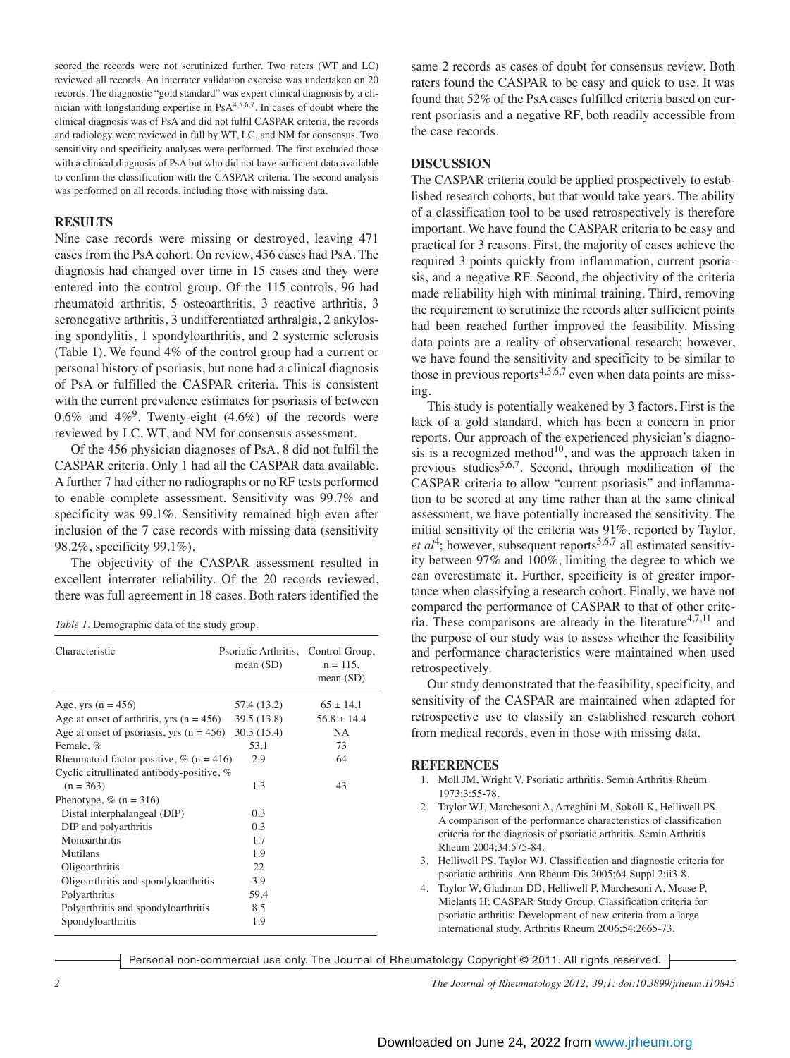scored the records were not scrutinized further. Two raters (WT and LC) reviewed all records. An interrater validation exercise was undertaken on 20 records. The diagnostic "gold standard" was expert clinical diagnosis by a clinician with longstanding expertise in PsA<sup>4,5,6,7</sup>. In cases of doubt where the clinical diagnosis was of PsA and did not fulfil CASPAR criteria, the records and radiology were reviewed in full by WT, LC, and NM for consensus. Two sensitivity and specificity analyses were performed. The first excluded those with a clinical diagnosis of PsA but who did not have sufficient data available to confirm the classification with the CASPAR criteria. The second analysis was performed on all records, including those with missing data.

### **RESULTS**

Nine case records were missing or destroyed, leaving 471 cases from the PsA cohort. On review, 456 cases had PsA. The diagnosis had changed over time in 15 cases and they were entered into the control group. Of the 115 controls, 96 had rheumatoid arthritis, 5 osteoarthritis, 3 reactive arthritis, 3 seronegative arthritis, 3 undifferentiated arthralgia, 2 ankylosing spondylitis, 1 spondyloarthritis, and 2 systemic sclerosis (Table 1). We found 4% of the control group had a current or personal history of psoriasis, but none had a clinical diagnosis of PsA or fulfilled the CASPAR criteria. This is consistent with the current prevalence estimates for psoriasis of between 0.6% and  $4\%$ <sup>9</sup>. Twenty-eight (4.6%) of the records were reviewed by LC, WT, and NM for consensus assessment.

Of the 456 physician diagnoses of PsA, 8 did not fulfil the CASPAR criteria. Only 1 had all the CASPAR data available. A further 7 had either no radiographs or no RF tests performed to enable complete assessment. Sensitivity was 99.7% and specificity was 99.1%. Sensitivity remained high even after inclusion of the 7 case records with missing data (sensitivity 98.2%, specificity 99.1%).

The objectivity of the CASPAR assessment resulted in excellent interrater reliability. Of the 20 records reviewed, there was full agreement in 18 cases. Both raters identified the

*Table 1.* Demographic data of the study group.

| Characteristic                             | Psoriatic Arthritis, Control Group,<br>mean $(SD)$ | $n = 115$ ,<br>mean $(SD)$ |
|--------------------------------------------|----------------------------------------------------|----------------------------|
| Age, yrs $(n = 456)$                       | 57.4 (13.2)                                        | $65 \pm 14.1$              |
| Age at onset of arthritis, yrs $(n = 456)$ | 39.5 (13.8)                                        | $56.8 \pm 14.4$            |
| Age at onset of psoriasis, yrs $(n = 456)$ | 30.3(15.4)                                         | NA                         |
| Female, %                                  | 53.1                                               | 73                         |
| Rheumatoid factor-positive, $\%$ (n = 416) | 2.9                                                | 64                         |
| Cyclic citrullinated antibody-positive, %  |                                                    |                            |
| $(n = 363)$                                | 1.3                                                | 43                         |
| Phenotype, $\%$ (n = 316)                  |                                                    |                            |
| Distal interphalangeal (DIP)               | 0.3                                                |                            |
| DIP and polyarthritis                      | 0.3                                                |                            |
| Monoarthritis                              | 1.7                                                |                            |
| Mutilans                                   | 1.9                                                |                            |
| Oligoarthritis                             | 22                                                 |                            |
| Oligoarthritis and spondyloarthritis       | 3.9                                                |                            |
| Polyarthritis                              | 59.4                                               |                            |
| Polyarthritis and spondyloarthritis        | 8.5                                                |                            |
| Spondyloarthritis                          | 1.9                                                |                            |

same 2 records as cases of doubt for consensus review. Both raters found the CASPAR to be easy and quick to use. It was found that 52% of the PsA cases fulfilled criteria based on current psoriasis and a negative RF, both readily accessible from the case records.

### **DISCUSSION**

The CASPAR criteria could be applied prospectively to established research cohorts, but that would take years. The ability of a classification tool to be used retrospectively is therefore important. We have found the CASPAR criteria to be easy and practical for 3 reasons. First, the majority of cases achieve the required 3 points quickly from inflammation, current psoriasis, and a negative RF. Second, the objectivity of the criteria made reliability high with minimal training. Third, removing the requirement to scrutinize the records after sufficient points had been reached further improved the feasibility. Missing data points are a reality of observational research; however, we have found the sensitivity and specificity to be similar to those in previous reports<sup>4,5,6,7</sup> even when data points are missing.

This study is potentially weakened by 3 factors. First is the lack of a gold standard, which has been a concern in prior reports. Our approach of the experienced physician's diagnosis is a recognized method<sup>10</sup>, and was the approach taken in previous studies<sup>5,6,7</sup>. Second, through modification of the CASPAR criteria to allow "current psoriasis" and inflammation to be scored at any time rather than at the same clinical assessment, we have potentially increased the sensitivity. The initial sensitivity of the criteria was 91%, reported by Taylor,  $et al<sup>4</sup>$ ; however, subsequent reports<sup>5,6,7</sup> all estimated sensitivity between 97% and 100%, limiting the degree to which we can overestimate it. Further, specificity is of greater importance when classifying a research cohort. Finally, we have not compared the performance of CASPAR to that of other criteria. These comparisons are already in the literature<sup>4,7,11</sup> and the purpose of our study was to assess whether the feasibility and performance characteristics were maintained when used retrospectively.

Our study demonstrated that the feasibility, specificity, and sensitivity of the CASPAR are maintained when adapted for retrospective use to classify an established research cohort from medical records, even in those with missing data.

### **REFERENCES**

- 1. Moll JM, Wright V. Psoriatic arthritis. Semin Arthritis Rheum 1973;3:55-78.
- 2. Taylor WJ, Marchesoni A, Arreghini M, Sokoll K, Helliwell PS. A comparison of the performance characteristics of classification criteria for the diagnosis of psoriatic arthritis. Semin Arthritis Rheum 2004;34:575-84.
- 3. Helliwell PS, Taylor WJ. Classification and diagnostic criteria for psoriatic arthritis. Ann Rheum Dis 2005;64 Suppl 2:ii3-8.
- 4. Taylor W, Gladman DD, Helliwell P, Marchesoni A, Mease P, Mielants H; CASPAR Study Group. Classification criteria for psoriatic arthritis: Development of new criteria from a large international study. Arthritis Rheum 2006;54:2665-73.

Personal non-commercial use only. The Journal of Rheumatology Copyright © 2011. All rights reserved.

*2 The Journal of Rheumatology 2012; 39;1: doi:10.3899/jrheum.110845*